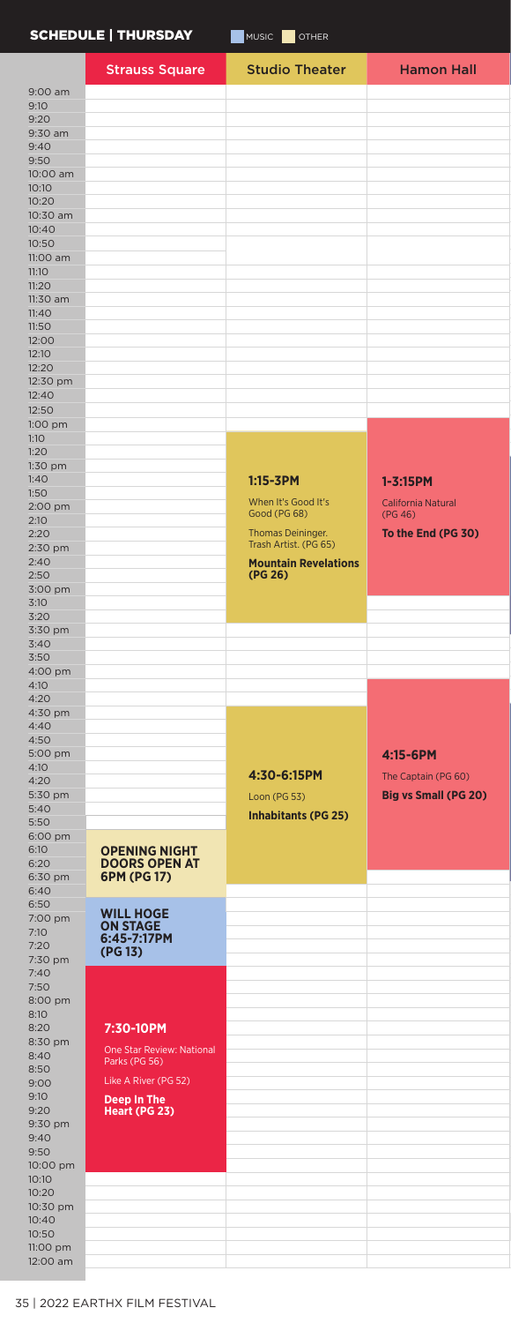# SCHEDULE | THURSDAY MUSIC OTHER

|                      | <b>Strauss Square</b>     | <b>Studio Theater</b>       | <b>Hamon Hall</b>           |
|----------------------|---------------------------|-----------------------------|-----------------------------|
| 9:00 am              |                           |                             |                             |
| 9:10                 |                           |                             |                             |
| 9:20                 |                           |                             |                             |
| 9:30 am<br>9:40      |                           |                             |                             |
| 9:50                 |                           |                             |                             |
| 10:00 am             |                           |                             |                             |
| 10:10                |                           |                             |                             |
| 10:20                |                           |                             |                             |
| 10:30 am             |                           |                             |                             |
| 10:40<br>10:50       |                           |                             |                             |
| 11:00 am             |                           |                             |                             |
| 11:10                |                           |                             |                             |
| 11:20                |                           |                             |                             |
| 11:30 am             |                           |                             |                             |
| 11:40<br>11:50       |                           |                             |                             |
| 12:00                |                           |                             |                             |
| 12:10                |                           |                             |                             |
| 12:20                |                           |                             |                             |
| 12:30 pm             |                           |                             |                             |
| 12:40<br>12:50       |                           |                             |                             |
| 1:00 pm              |                           |                             |                             |
| 1:10                 |                           |                             |                             |
| 1:20                 |                           |                             |                             |
| 1:30 pm              |                           |                             |                             |
| 1:40                 |                           | $1:15 - 3PM$                | $1 - 3:15$ PM               |
| 1:50<br>2:00 pm      |                           | When It's Good It's         | California Natural          |
| 2:10                 |                           | Good (PG 68)                | (PG 46)                     |
| 2:20                 |                           | Thomas Deininger.           | To the End (PG 30)          |
| 2:30 pm              |                           | Trash Artist. (PG 65)       |                             |
| 2:40                 |                           | <b>Mountain Revelations</b> |                             |
| 2:50<br>3:00 pm      |                           | (PG 26)                     |                             |
| 3:10                 |                           |                             |                             |
| 3:20                 |                           |                             |                             |
| 3:30 pm              |                           |                             |                             |
| 3:40<br>3:50         |                           |                             |                             |
| 4:00 pm              |                           |                             |                             |
| 4:10                 |                           |                             |                             |
| 4:20                 |                           |                             |                             |
| 4:30 pm              |                           |                             |                             |
| 4:40<br>4:50         |                           |                             |                             |
|                      |                           |                             | 4:15-6PM                    |
|                      |                           |                             |                             |
| 5:00 pm<br>4:10      |                           |                             |                             |
| 4:20                 |                           | 4:30-6:15PM                 | The Captain (PG 60)         |
| 5:30 pm              |                           | Loon (PG 53)                | <b>Big vs Small (PG 20)</b> |
| 5:40                 |                           | <b>Inhabitants (PG 25)</b>  |                             |
| 5:50                 |                           |                             |                             |
| 6:00 pm<br>6:10      | <b>OPENING NIGHT</b>      |                             |                             |
| 6:20                 | <b>DOORS OPEN AT</b>      |                             |                             |
| 6:30 pm              | 6PM (PG 17)               |                             |                             |
| 6:40                 |                           |                             |                             |
| 6:50<br>7:00 pm      | <b>WILL HOGE</b>          |                             |                             |
| 7:10                 | <b>ON STAGE</b>           |                             |                             |
| 7:20                 | 6:45-7:17PM<br>(PG 13)    |                             |                             |
| 7:30 pm              |                           |                             |                             |
| 7:40                 |                           |                             |                             |
| 7:50<br>8:00 pm      |                           |                             |                             |
| 8:10                 |                           |                             |                             |
| 8:20                 | 7:30-10PM                 |                             |                             |
| 8:30 pm<br>8:40      | One Star Review: National |                             |                             |
| 8:50                 | Parks (PG 56)             |                             |                             |
| 9:00                 | Like A River (PG 52)      |                             |                             |
| 9:10                 | Deep In The               |                             |                             |
| 9:20                 | Heart (PG 23)             |                             |                             |
| 9:30 pm<br>9:40      |                           |                             |                             |
| 9:50                 |                           |                             |                             |
| 10:00 pm             |                           |                             |                             |
| 10:10                |                           |                             |                             |
| 10:20<br>10:30 pm    |                           |                             |                             |
| 10:40                |                           |                             |                             |
| 10:50                |                           |                             |                             |
| 11:00 pm<br>12:00 am |                           |                             |                             |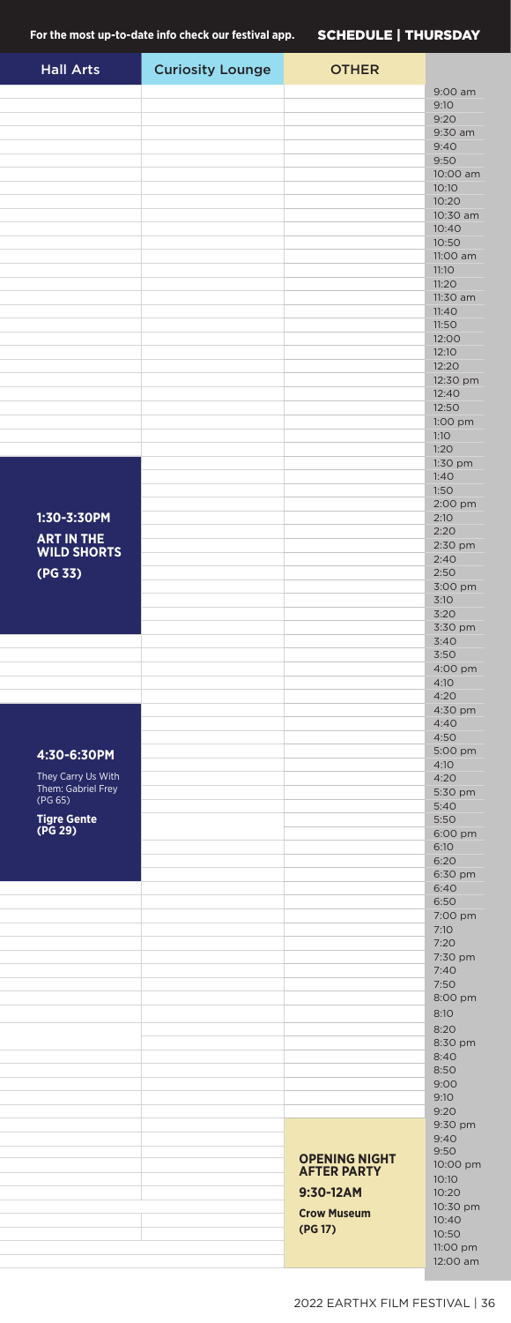| <b>Hall Arts</b>                        | <b>Curiosity Lounge</b> | <b>OTHER</b>         |                    |
|-----------------------------------------|-------------------------|----------------------|--------------------|
|                                         |                         |                      | 9:00 am            |
|                                         |                         |                      | 9:10               |
|                                         |                         |                      | 9:20               |
|                                         |                         |                      | 9:30 am            |
|                                         |                         |                      | 9:40<br>9:50       |
|                                         |                         |                      | 10:00 am           |
|                                         |                         |                      | 10:10              |
|                                         |                         |                      | 10:20              |
|                                         |                         |                      | 10:30 am           |
|                                         |                         |                      | 10:40<br>10:50     |
|                                         |                         |                      | 11:00 am           |
|                                         |                         |                      | 11:10              |
|                                         |                         |                      | 11:20              |
|                                         |                         |                      | 11:30 am           |
|                                         |                         |                      | 11:40              |
|                                         |                         |                      | 11:50<br>12:00     |
|                                         |                         |                      | 12:10              |
|                                         |                         |                      | 12:20              |
|                                         |                         |                      | 12:30 pm           |
|                                         |                         |                      | 12:40              |
|                                         |                         |                      | 12:50<br>1:00 pm   |
|                                         |                         |                      | 1:10               |
|                                         |                         |                      | 1:20               |
|                                         |                         |                      | 1:30 pm            |
|                                         |                         |                      | 1:40               |
|                                         |                         |                      | 1:50               |
| 1:30-3:30PM                             |                         |                      | 2:00 pm<br>2:10    |
|                                         |                         |                      | 2:20               |
| <b>ART IN THE</b><br><b>WILD SHORTS</b> |                         |                      | 2:30 pm            |
|                                         |                         |                      | 2:40               |
| (PG 33)                                 |                         |                      | 2:50<br>3:00 pm    |
|                                         |                         |                      | 3:10               |
|                                         |                         |                      | 3:20               |
|                                         |                         |                      | 3:30 pm            |
|                                         |                         |                      | 3:40               |
|                                         |                         |                      | 3:50               |
|                                         |                         |                      | 4:00 pm<br>4:10    |
|                                         |                         |                      | 4:20               |
|                                         |                         |                      | 4:30 pm            |
|                                         |                         |                      | 4:40               |
|                                         |                         |                      | 4:50<br>5:00 pm    |
| 4:30-6:30PM                             |                         |                      | 4:10               |
| They Carry Us With                      |                         |                      | 4:20               |
| Them: Gabriel Frey<br>(PG 65)           |                         |                      | 5:30 pm            |
| <b>Tigre Gente</b>                      |                         |                      | 5:40               |
| (PG 29)                                 |                         |                      | 5:50<br>6:00 pm    |
|                                         |                         |                      | 6:10               |
|                                         |                         |                      | 6:20               |
|                                         |                         |                      | 6:30 pm            |
|                                         |                         |                      | 6:40<br>6:50       |
|                                         |                         |                      | 7:00 pm            |
|                                         |                         |                      | 7:10               |
|                                         |                         |                      | 7:20               |
|                                         |                         |                      | 7:30 pm            |
|                                         |                         |                      | 7:40<br>7:50       |
|                                         |                         |                      | 8:00 pm            |
|                                         |                         |                      | 8:10               |
|                                         |                         |                      | 8:20               |
|                                         |                         |                      | 8:30 pm            |
|                                         |                         |                      | 8:40               |
|                                         |                         |                      | 8:50<br>9:00       |
|                                         |                         |                      | 9:10               |
|                                         |                         |                      | 9:20               |
|                                         |                         |                      | 9:30 pm            |
|                                         |                         |                      | 9:40<br>9:50       |
|                                         |                         | <b>OPENING NIGHT</b> | 10:00 pm           |
|                                         |                         | <b>AFTER PARTY</b>   | 10:10              |
|                                         |                         | 9:30-12AM            | 10:20              |
|                                         |                         | <b>Crow Museum</b>   | 10:30 pm           |
|                                         |                         | (PG 17)              | 10:40<br>10:50     |
|                                         |                         |                      | 11:00 pm           |
|                                         |                         |                      | $12.00 \text{ am}$ |

12:00 am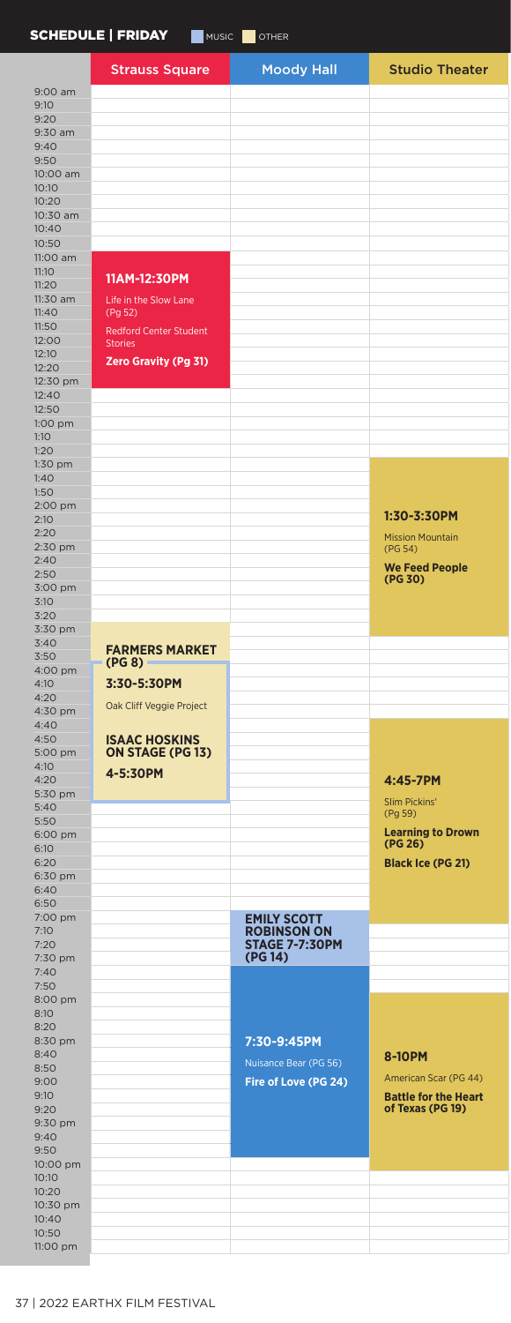#### SCHEDULE | FRIDAY MUSIC OTHER

|                   | SUNEDOLE   FRIDAT<br>MUSIC <b>DE</b> OTHER |                       |                             |  |
|-------------------|--------------------------------------------|-----------------------|-----------------------------|--|
|                   | <b>Strauss Square</b>                      | <b>Moody Hall</b>     | <b>Studio Theater</b>       |  |
|                   |                                            |                       |                             |  |
| 9:00 am<br>9:10   |                                            |                       |                             |  |
| 9:20              |                                            |                       |                             |  |
| 9:30 am           |                                            |                       |                             |  |
| 9:40              |                                            |                       |                             |  |
| 9:50              |                                            |                       |                             |  |
| 10:00 am<br>10:10 |                                            |                       |                             |  |
| 10:20             |                                            |                       |                             |  |
| 10:30 am          |                                            |                       |                             |  |
| 10:40             |                                            |                       |                             |  |
| 10:50             |                                            |                       |                             |  |
| 11:00 am<br>11:10 |                                            |                       |                             |  |
| 11:20             | 11AM-12:30PM                               |                       |                             |  |
| 11:30 am          | Life in the Slow Lane                      |                       |                             |  |
| 11:40             | (Pg 52)                                    |                       |                             |  |
| 11:50<br>12:00    | <b>Redford Center Student</b>              |                       |                             |  |
| 12:10             | <b>Stories</b>                             |                       |                             |  |
| 12:20             | <b>Zero Gravity (Pg 31)</b>                |                       |                             |  |
| 12:30 pm          |                                            |                       |                             |  |
| 12:40             |                                            |                       |                             |  |
| 12:50             |                                            |                       |                             |  |
| 1:00 pm<br>1:10   |                                            |                       |                             |  |
| 1:20              |                                            |                       |                             |  |
| 1:30 pm           |                                            |                       |                             |  |
| 1:40              |                                            |                       |                             |  |
| 1:50<br>2:00 pm   |                                            |                       |                             |  |
| 2:10              |                                            |                       | 1:30-3:30PM                 |  |
| 2:20              |                                            |                       | <b>Mission Mountain</b>     |  |
| 2:30 pm           |                                            |                       | (PG 54)                     |  |
| 2:40              |                                            |                       | <b>We Feed People</b>       |  |
| 2:50<br>3:00 pm   |                                            |                       | (PG 30)                     |  |
| 3:10              |                                            |                       |                             |  |
| 3:20              |                                            |                       |                             |  |
| 3:30 pm           |                                            |                       |                             |  |
| 3:40<br>3:50      | <b>FARMERS MARKET</b>                      |                       |                             |  |
| 4:00 pm           | $(PG 8) =$                                 |                       |                             |  |
| 4:10              | 3:30-5:30PM                                |                       |                             |  |
| 4:20              | Oak Cliff Veggie Project                   |                       |                             |  |
| 4:30 pm           |                                            |                       |                             |  |
| 4:40<br>4:50      | <b>ISAAC HOSKINS</b>                       |                       |                             |  |
| 5:00 pm           | <b>ON STAGE (PG 13)</b>                    |                       |                             |  |
| 4:10              | 4-5:30PM                                   |                       |                             |  |
| 4:20              |                                            |                       | 4:45-7PM                    |  |
| 5:30 pm           |                                            |                       | Slim Pickins'               |  |
| 5:40<br>5:50      |                                            |                       | (Pg 59)                     |  |
| 6:00 pm           |                                            |                       | <b>Learning to Drown</b>    |  |
| 6:10              |                                            |                       | (PG 26)                     |  |
| 6:20              |                                            |                       | <b>Black Ice (PG 21)</b>    |  |
| 6:30 pm<br>6:40   |                                            |                       |                             |  |
| 6:50              |                                            |                       |                             |  |
| 7:00 pm           |                                            | <b>EMILY SCOTT</b>    |                             |  |
| 7:10              |                                            | <b>ROBINSON ON</b>    |                             |  |
| 7:20              |                                            | <b>STAGE 7-7:30PM</b> |                             |  |
| 7:30 pm<br>7:40   |                                            | (PG 14)               |                             |  |
| 7:50              |                                            |                       |                             |  |
| 8:00 pm           |                                            |                       |                             |  |
| 8:10              |                                            |                       |                             |  |
| 8:20              |                                            |                       |                             |  |
| 8:30 pm<br>8:40   |                                            | 7:30-9:45PM           | 8-10PM                      |  |
| 8:50              |                                            | Nuisance Bear (PG 56) |                             |  |
| 9:00              |                                            | Fire of Love (PG 24)  | American Scar (PG 44)       |  |
| 9:10              |                                            |                       | <b>Battle for the Heart</b> |  |
| 9:20              |                                            |                       | of Texas (PG 19)            |  |
| 9:30 pm<br>9:40   |                                            |                       |                             |  |
| 9:50              |                                            |                       |                             |  |
| 10:00 pm          |                                            |                       |                             |  |
| 10:10             |                                            |                       |                             |  |
| 10:20<br>10:30 pm |                                            |                       |                             |  |
| 10:40             |                                            |                       |                             |  |
| 10:50             |                                            |                       |                             |  |
| 11:00 pm          |                                            |                       |                             |  |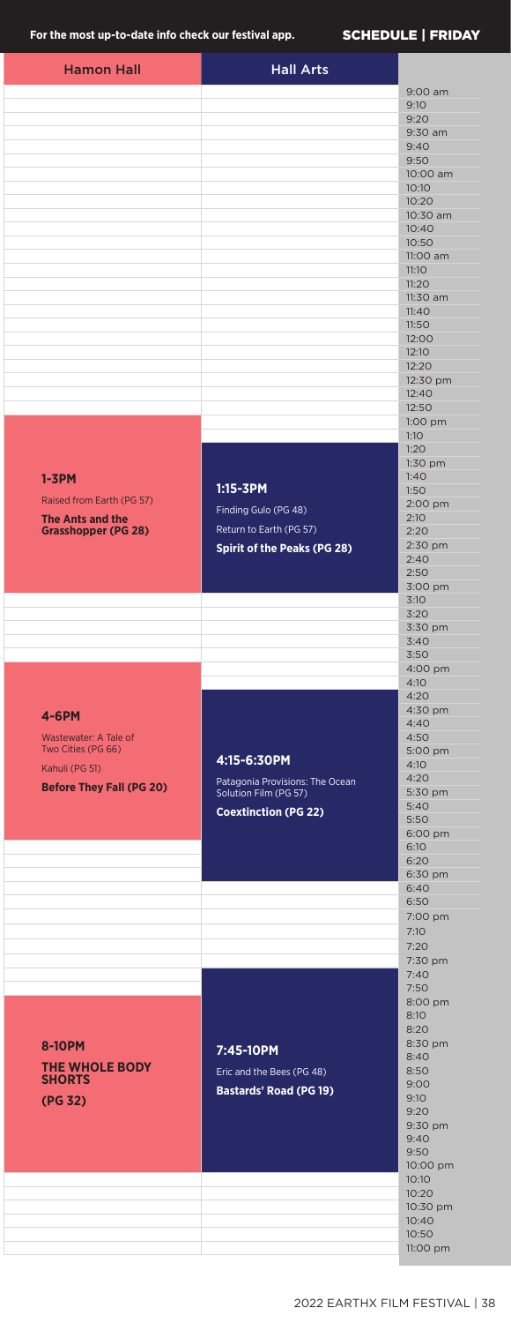### For the most up-to-date info check our festival app. **SCHEDULE | FRIDAY**

| <b>Hamon Hall</b>               | <b>Hall Arts</b>                                         |                   |
|---------------------------------|----------------------------------------------------------|-------------------|
|                                 |                                                          | 9:00 am           |
|                                 |                                                          | 9:10              |
|                                 |                                                          | 9:20              |
|                                 |                                                          | 9:30 am<br>9:40   |
|                                 |                                                          | 9:50              |
|                                 |                                                          | 10:00 am          |
|                                 |                                                          | 10:10             |
|                                 |                                                          | 10:20             |
|                                 |                                                          | 10:30 am<br>10:40 |
|                                 |                                                          | 10:50             |
|                                 |                                                          | 11:00 am          |
|                                 |                                                          | 11:10<br>11:20    |
|                                 |                                                          | 11:30 am          |
|                                 |                                                          | 11:40             |
|                                 |                                                          | 11:50             |
|                                 |                                                          | 12:00<br>12:10    |
|                                 |                                                          | 12:20             |
|                                 |                                                          | 12:30 pm          |
|                                 |                                                          | 12:40             |
|                                 |                                                          | 12:50             |
|                                 |                                                          | 1:00 pm<br>1:10   |
|                                 |                                                          | 1:20              |
|                                 |                                                          | 1:30 pm           |
| $1 - 3$ PM                      |                                                          | 1:40              |
| Raised from Earth (PG 57)       | 1:15-3PM                                                 | 1:50<br>2:00 pm   |
| <b>The Ants and the</b>         | Finding Gulo (PG 48)                                     | 2:10              |
| <b>Grasshopper (PG 28)</b>      | Return to Earth (PG 57)                                  | 2:20              |
|                                 | <b>Spirit of the Peaks (PG 28)</b>                       | 2:30 pm           |
|                                 |                                                          | 2:40<br>2:50      |
|                                 |                                                          | 3:00 pm           |
|                                 |                                                          | 3:10              |
|                                 |                                                          | 3:20              |
|                                 |                                                          | 3:30 pm           |
|                                 |                                                          | 3:40<br>3:50      |
|                                 |                                                          | 4:00 pm           |
|                                 |                                                          | 4:10              |
|                                 |                                                          | 4:20              |
| 4-6PM                           |                                                          | 4:30 pm<br>4:40   |
| Wastewater: A Tale of           |                                                          | 4:50              |
| Two Cities (PG 66)              | 4:15-6:30PM                                              | 5:00 pm           |
| Kahuli (PG 51)                  |                                                          | 4:10              |
| <b>Before They Fall (PG 20)</b> | Patagonia Provisions: The Ocean<br>Solution Film (PG 57) | 4:20<br>5:30 pm   |
|                                 | <b>Coextinction (PG 22)</b>                              | 5:40              |
|                                 |                                                          | 5:50              |
|                                 |                                                          | 6:00 pm<br>6:10   |
|                                 |                                                          | 6:20              |
|                                 |                                                          | 6:30 pm           |
|                                 |                                                          | 6:40              |
|                                 |                                                          | 6:50<br>7:00 pm   |
|                                 |                                                          | 7:10              |
|                                 |                                                          | 7:20              |
|                                 |                                                          | 7:30 pm           |
|                                 |                                                          | 7:40              |
|                                 |                                                          | 7:50<br>8:00 pm   |
|                                 |                                                          | 8:10              |
|                                 |                                                          | 8:20              |
| 8-10PM                          | 7:45-10PM                                                | 8:30 pm           |
| THE WHOLE BODY                  | Eric and the Bees (PG 48)                                | 8:40<br>8:50      |
| <b>SHORTS</b>                   | <b>Bastards' Road (PG 19)</b>                            | 9:00              |
| (PG 32)                         |                                                          | 9:10              |
|                                 |                                                          | 9:20              |
|                                 |                                                          | 9:30 pm<br>9:40   |
|                                 |                                                          | 9:50              |
|                                 |                                                          | 10:00 pm          |
|                                 |                                                          | 10:10             |
|                                 |                                                          | 10:20<br>10:30 pm |
|                                 |                                                          | 10:40             |
|                                 |                                                          | 10:50             |
|                                 |                                                          | 11:00 pm          |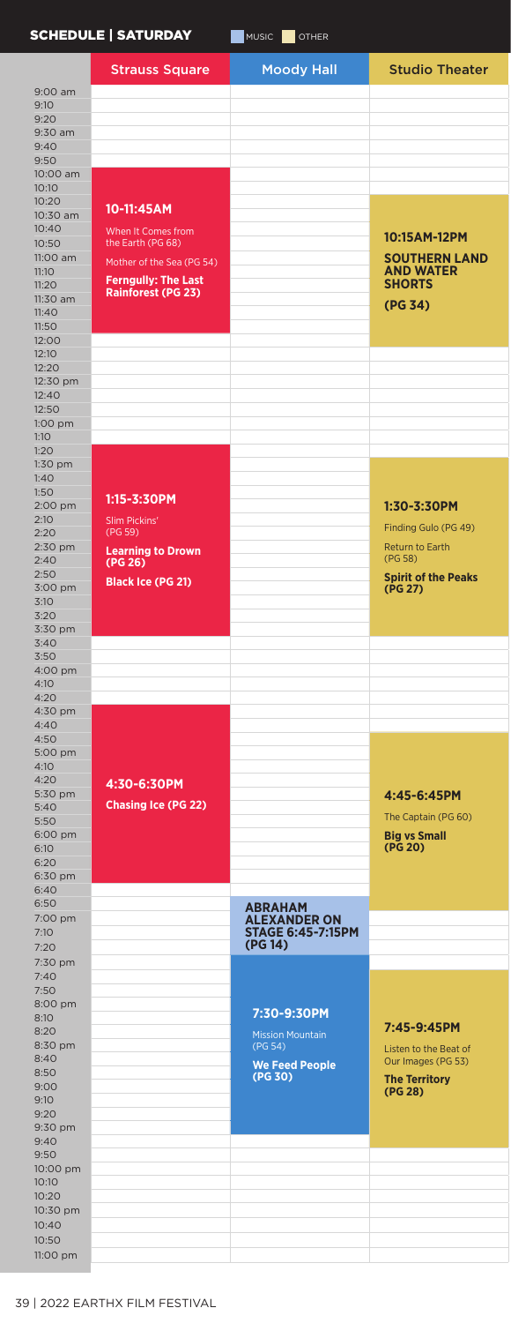## SCHEDULE | SATURDAY MUSIC OTHER

|                   | <b>Strauss Square</b>      | <b>Moody Hall</b>                     | <b>Studio Theater</b>                    |
|-------------------|----------------------------|---------------------------------------|------------------------------------------|
| 9:00 am           |                            |                                       |                                          |
| 9:10              |                            |                                       |                                          |
| 9:20              |                            |                                       |                                          |
| 9:30 am           |                            |                                       |                                          |
| 9:40              |                            |                                       |                                          |
| 9:50<br>10:00 am  |                            |                                       |                                          |
| 10:10             |                            |                                       |                                          |
| 10:20             |                            |                                       |                                          |
| 10:30 am          | 10-11:45AM                 |                                       |                                          |
| 10:40             | When It Comes from         |                                       | 10:15AM-12PM                             |
| 10:50             | the Earth (PG 68)          |                                       |                                          |
| 11:00 am<br>11:10 | Mother of the Sea (PG 54)  |                                       | <b>SOUTHERN LAND</b><br><b>AND WATER</b> |
| 11:20             | <b>Ferngully: The Last</b> |                                       | <b>SHORTS</b>                            |
| 11:30 am          | <b>Rainforest (PG 23)</b>  |                                       |                                          |
| 11:40             |                            |                                       | (PG 34)                                  |
| 11:50             |                            |                                       |                                          |
| 12:00             |                            |                                       |                                          |
| 12:10<br>12:20    |                            |                                       |                                          |
| 12:30 pm          |                            |                                       |                                          |
| 12:40             |                            |                                       |                                          |
| 12:50             |                            |                                       |                                          |
| 1:00 pm           |                            |                                       |                                          |
| 1:10              |                            |                                       |                                          |
| 1:20<br>1:30 pm   |                            |                                       |                                          |
| 1:40              |                            |                                       |                                          |
| 1:50              |                            |                                       |                                          |
| 2:00 pm           | 1:15-3:30PM                |                                       | 1:30-3:30PM                              |
| 2:10              | Slim Pickins'              |                                       | Finding Gulo (PG 49)                     |
| 2:20              | (PG 59)                    |                                       |                                          |
| 2:30 pm<br>2:40   | <b>Learning to Drown</b>   |                                       | Return to Earth<br>(PG 58)               |
| 2:50              | (PG 26)                    |                                       | <b>Spirit of the Peaks</b>               |
| 3:00 pm           | <b>Black Ice (PG 21)</b>   |                                       | (PG 27)                                  |
| 3:10              |                            |                                       |                                          |
| 3:20              |                            |                                       |                                          |
| 3:30 pm<br>3:40   |                            |                                       |                                          |
| 3:50              |                            |                                       |                                          |
| 4:00 pm           |                            |                                       |                                          |
| 4:10              |                            |                                       |                                          |
| 4:20              |                            |                                       |                                          |
| 4:30 pm<br>4:40   |                            |                                       |                                          |
| 4:50              |                            |                                       |                                          |
| 5:00 pm           |                            |                                       |                                          |
| 4:10              |                            |                                       |                                          |
| 4:20              | 4:30-6:30PM                |                                       |                                          |
| 5:30 pm           | <b>Chasing Ice (PG 22)</b> |                                       | 4:45-6:45PM                              |
| 5:40<br>5:50      |                            |                                       | The Captain (PG 60)                      |
| 6:00 pm           |                            |                                       | <b>Big vs Small</b>                      |
| 6:10              |                            |                                       | (PG 20)                                  |
| 6:20              |                            |                                       |                                          |
| 6:30 pm           |                            |                                       |                                          |
| 6:40<br>6:50      |                            |                                       |                                          |
| 7:00 pm           |                            | <b>ABRAHAM</b><br><b>ALEXANDER ON</b> |                                          |
| 7:10              |                            | <b>STAGE 6:45-7:15PM</b>              |                                          |
| 7:20              |                            | (PG 14)                               |                                          |
| 7:30 pm           |                            |                                       |                                          |
| 7:40              |                            |                                       |                                          |
| 7:50              |                            |                                       |                                          |
| 8:00 pm           |                            | 7:30-9:30PM                           |                                          |
| 8:10<br>8:20      |                            |                                       | 7:45-9:45PM                              |
| 8:30 pm           |                            | <b>Mission Mountain</b><br>(PG 54)    | Listen to the Beat of                    |
| 8:40              |                            | <b>We Feed People</b>                 | Our Images (PG 53)                       |
| 8:50              |                            | (PG 30)                               | <b>The Territory</b>                     |
| 9:00              |                            |                                       | (PG 28)                                  |
| 9:10<br>9:20      |                            |                                       |                                          |
| 9:30 pm           |                            |                                       |                                          |
| 9:40              |                            |                                       |                                          |
| 9:50              |                            |                                       |                                          |
| 10:00 pm          |                            |                                       |                                          |
| 10:10<br>10:20    |                            |                                       |                                          |
| 10:30 pm          |                            |                                       |                                          |
| 10:40             |                            |                                       |                                          |
| 10:50             |                            |                                       |                                          |
| 11:00 pm          |                            |                                       |                                          |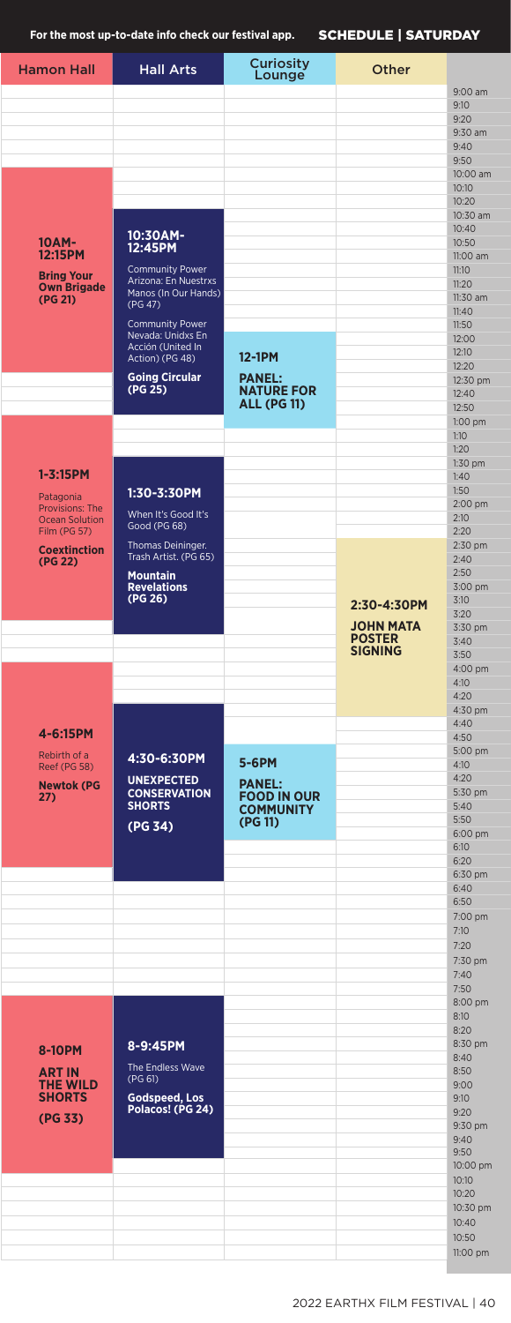For the most up-to-date info check our festival app. **SCHEDULE | SATURDAY** 

| <b>Hamon Hall</b>                     | <b>Hall Arts</b>                             | <b>Curiosity</b><br>Lounge              | Other            |                   |
|---------------------------------------|----------------------------------------------|-----------------------------------------|------------------|-------------------|
|                                       |                                              |                                         |                  | $9:00$ am         |
|                                       |                                              |                                         |                  | 9:10              |
|                                       |                                              |                                         |                  | 9:20<br>9:30 am   |
|                                       |                                              |                                         |                  | 9:40              |
|                                       |                                              |                                         |                  | 9:50              |
|                                       |                                              |                                         |                  | 10:00 am<br>10:10 |
|                                       |                                              |                                         |                  | 10:20             |
|                                       |                                              |                                         |                  | 10:30 am          |
| 10AM-                                 | 10:30AM-                                     |                                         |                  | 10:40<br>10:50    |
| 12:15PM                               | 12:45PM                                      |                                         |                  | 11:00 am          |
| <b>Bring Your</b>                     | <b>Community Power</b>                       |                                         |                  | 11:10             |
| <b>Own Brigade</b>                    | Arizona: En Nuestrxs<br>Manos (In Our Hands) |                                         |                  | 11:20<br>11:30 am |
| (PG 21)                               | (PG 47)                                      |                                         |                  | 11:40             |
|                                       | <b>Community Power</b>                       |                                         |                  | 11:50             |
|                                       | Nevada: Unidxs En<br>Acción (United In       |                                         |                  | 12:00             |
|                                       | Action) (PG 48)                              | 12-1PM                                  |                  | 12:10<br>12:20    |
|                                       | <b>Going Circular</b>                        | <b>PANEL:</b>                           |                  | 12:30 pm          |
|                                       | (PG 25)                                      | <b>NATURE FOR</b><br><b>ALL (PG 11)</b> |                  | 12:40             |
|                                       |                                              |                                         |                  | 12:50<br>1:00 pm  |
|                                       |                                              |                                         |                  | 1:10              |
|                                       |                                              |                                         |                  | 1:20              |
| $1 - 3:15$ PM                         |                                              |                                         |                  | 1:30 pm<br>1:40   |
| Patagonia                             | 1:30-3:30PM                                  |                                         |                  | 1:50              |
| Provisions: The                       | When It's Good It's                          |                                         |                  | 2:00 pm           |
| <b>Ocean Solution</b><br>Film (PG 57) | Good (PG 68)                                 |                                         |                  | 2:10<br>2:20      |
| <b>Coextinction</b>                   | Thomas Deininger.                            |                                         |                  | 2:30 pm           |
| (PG 22)                               | Trash Artist. (PG 65)                        |                                         |                  | 2:40<br>2:50      |
|                                       | <b>Mountain</b><br><b>Revelations</b>        |                                         |                  | 3:00 pm           |
|                                       | (PG 26)                                      |                                         | 2:30-4:30PM      | 3:10              |
|                                       |                                              |                                         | <b>JOHN MATA</b> | 3:20<br>3:30 pm   |
|                                       |                                              |                                         | <b>POSTER</b>    | 3:40              |
|                                       |                                              |                                         | <b>SIGNING</b>   | 3:50              |
|                                       |                                              |                                         |                  | 4:00 pm<br>4:10   |
|                                       |                                              |                                         |                  | 4:20              |
|                                       |                                              |                                         |                  | 4:30 pm<br>4:40   |
| 4-6:15PM                              |                                              |                                         |                  | 4:50              |
| Rebirth of a                          | 4:30-6:30PM                                  |                                         |                  | 5:00 pm           |
| Reef (PG 58)                          | <b>UNEXPECTED</b>                            | 5-6PM                                   |                  | 4:10<br>4:20      |
| <b>Newtok (PG</b>                     | <b>CONSERVATION</b>                          | <b>PANEL:</b><br><b>FOOD IN OUR</b>     |                  | 5:30 pm           |
| Z1)                                   | <b>SHORTS</b>                                | <b>COMMUNITY</b>                        |                  | 5:40              |
|                                       | (PG 34)                                      | (PG 11)                                 |                  | 5:50<br>6:00 pm   |
|                                       |                                              |                                         |                  | 6:10              |
|                                       |                                              |                                         |                  | 6:20              |
|                                       |                                              |                                         |                  | 6:30 pm<br>6:40   |
|                                       |                                              |                                         |                  | 6:50              |
|                                       |                                              |                                         |                  | 7:00 pm<br>7:10   |
|                                       |                                              |                                         |                  | 7:20              |
|                                       |                                              |                                         |                  | 7:30 pm           |
|                                       |                                              |                                         |                  | 7:40              |
|                                       |                                              |                                         |                  | 7:50<br>8:00 pm   |
|                                       |                                              |                                         |                  | 8:10              |
|                                       |                                              |                                         |                  | 8:20<br>8:30 pm   |
| 8-10PM                                | 8-9:45PM                                     |                                         |                  | 8:40              |
| <b>ART IN</b>                         | The Endless Wave<br>(PG 61)                  |                                         |                  | 8:50              |
| <b>THE WILD</b><br><b>SHORTS</b>      | Godspeed, Los                                |                                         |                  | 9:00<br>9:10      |
| (PG 33)                               | Polacos! (PG 24)                             |                                         |                  | 9:20              |
|                                       |                                              |                                         |                  | 9:30 pm           |
|                                       |                                              |                                         |                  | 9:40<br>9:50      |
|                                       |                                              |                                         |                  | 10:00 pm          |
|                                       |                                              |                                         |                  | 10:10             |
|                                       |                                              |                                         |                  | 10:20<br>10:30 pm |
|                                       |                                              |                                         |                  | 10:40             |
|                                       |                                              |                                         |                  | 10:50             |
|                                       |                                              |                                         |                  | 11:00 pm          |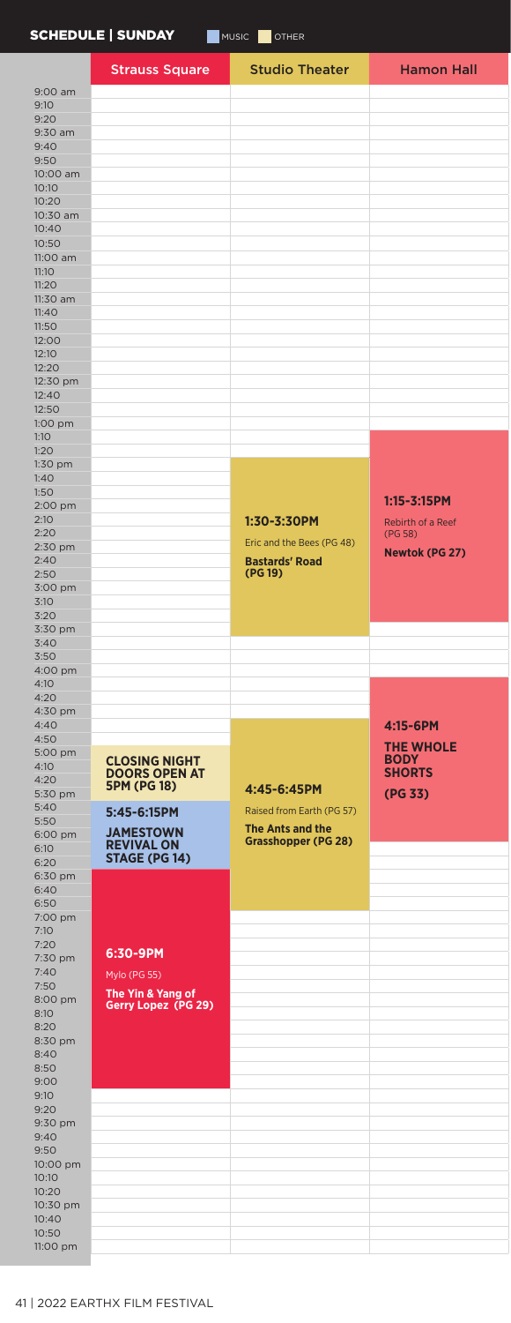|                   | SCHEDULE   SUNDAY                            | MUSIC<br>OTHER                   |                                 |
|-------------------|----------------------------------------------|----------------------------------|---------------------------------|
|                   | <b>Strauss Square</b>                        | <b>Studio Theater</b>            | <b>Hamon Hall</b>               |
| $9:00$ am         |                                              |                                  |                                 |
| 9:10              |                                              |                                  |                                 |
| 9:20              |                                              |                                  |                                 |
| 9:30 am           |                                              |                                  |                                 |
| 9:40              |                                              |                                  |                                 |
| 9:50              |                                              |                                  |                                 |
| 10:00 am<br>10:10 |                                              |                                  |                                 |
| 10:20             |                                              |                                  |                                 |
| 10:30 am          |                                              |                                  |                                 |
| 10:40             |                                              |                                  |                                 |
| 10:50             |                                              |                                  |                                 |
| 11:00 am          |                                              |                                  |                                 |
| 11:10             |                                              |                                  |                                 |
| 11:20             |                                              |                                  |                                 |
| 11:30 am          |                                              |                                  |                                 |
| 11:40             |                                              |                                  |                                 |
| 11:50<br>12:00    |                                              |                                  |                                 |
| 12:10             |                                              |                                  |                                 |
| 12:20             |                                              |                                  |                                 |
| 12:30 pm          |                                              |                                  |                                 |
| 12:40             |                                              |                                  |                                 |
| 12:50             |                                              |                                  |                                 |
| 1:00 pm           |                                              |                                  |                                 |
| 1:10              |                                              |                                  |                                 |
| 1:20              |                                              |                                  |                                 |
| 1:30 pm<br>1:40   |                                              |                                  |                                 |
| 1:50              |                                              |                                  |                                 |
| 2:00 pm           |                                              |                                  | $1:15 - 3:15$ PM                |
| 2:10              |                                              | 1:30-3:30PM                      | Rebirth of a Reef               |
| 2:20              |                                              | Eric and the Bees (PG 48)        | (PG 58)                         |
| 2:30 pm           |                                              |                                  | Newtok (PG 27)                  |
| 2:40<br>2:50      |                                              | <b>Bastards' Road</b><br>(PG 19) |                                 |
| 3:00 pm           |                                              |                                  |                                 |
| 3:10              |                                              |                                  |                                 |
| 3:20              |                                              |                                  |                                 |
| 3:30 pm           |                                              |                                  |                                 |
| 3:40              |                                              |                                  |                                 |
| 3:50              |                                              |                                  |                                 |
| 4:00 pm<br>4:10   |                                              |                                  |                                 |
| 4:20              |                                              |                                  |                                 |
| 4:30 pm           |                                              |                                  |                                 |
| 4:40              |                                              |                                  | 4:15-6PM                        |
| 4:50              |                                              |                                  |                                 |
| 5:00 pm           |                                              |                                  |                                 |
|                   |                                              |                                  | <b>THE WHOLE</b><br><b>BODY</b> |
| 4:10              | <b>CLOSING NIGHT</b><br><b>DOORS OPEN AT</b> |                                  | <b>SHORTS</b>                   |
| 4:20              | <b>5PM (PG 18)</b>                           | 4:45-6:45PM                      |                                 |
| 5:30 pm<br>5:40   |                                              |                                  | (PG 33)                         |
| 5:50              | 5:45-6:15PM                                  | Raised from Earth (PG 57)        |                                 |
| 6:00 pm           | <b>JAMESTOWN</b>                             | <b>The Ants and the</b>          |                                 |
| 6:10              | <b>REVIVAL ON</b>                            | <b>Grasshopper (PG 28)</b>       |                                 |
| 6:20              | STAGE (PG 14)                                |                                  |                                 |
| 6:30 pm           |                                              |                                  |                                 |
| 6:40<br>6:50      |                                              |                                  |                                 |
| 7:00 pm           |                                              |                                  |                                 |
| 7:10              |                                              |                                  |                                 |
| 7:20              |                                              |                                  |                                 |
| 7:30 pm           | 6:30-9PM                                     |                                  |                                 |
| 7:40              | Mylo (PG 55)                                 |                                  |                                 |
| 7:50<br>8:00 pm   | The Yin & Yang of                            |                                  |                                 |
| 8:10              | Gerry Lopez (PG 29)                          |                                  |                                 |
| 8:20              |                                              |                                  |                                 |
| 8:30 pm           |                                              |                                  |                                 |
| 8:40              |                                              |                                  |                                 |
| 8:50<br>9:00      |                                              |                                  |                                 |
| 9:10              |                                              |                                  |                                 |
| 9:20              |                                              |                                  |                                 |
| 9:30 pm           |                                              |                                  |                                 |
| 9:40              |                                              |                                  |                                 |
| 9:50              |                                              |                                  |                                 |
| 10:00 pm          |                                              |                                  |                                 |
| 10:10<br>10:20    |                                              |                                  |                                 |
| 10:30 pm          |                                              |                                  |                                 |
| 10:40<br>10:50    |                                              |                                  |                                 |